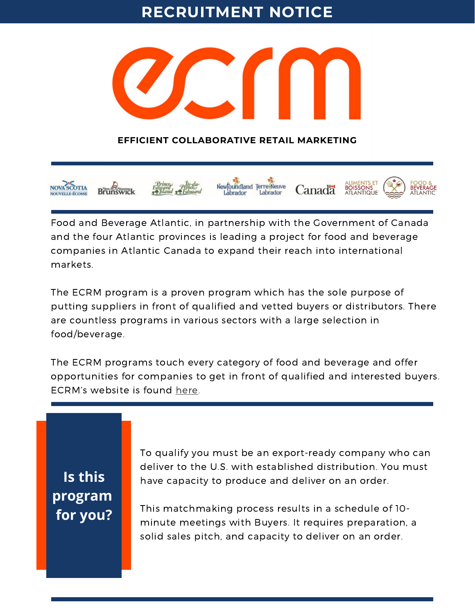### **RECRUITMENT NOTICE**



### **EFFICIENT COLLABORATIVE RETAIL MARKETING**



Food and Beverage Atlantic, in partnership with the Government of Canada and the four Atlantic provinces is leading a project for food and beverage companies in Atlantic Canada to expand their reach into international markets.

The ECRM program is a proven program which has the sole purpose of putting suppliers in front of qualified and vetted buyers or distributors. There are countless programs in various sectors with a large selection in food/beverage.

The ECRM programs touch every category of food and beverage and offer opportunities for companies to get in front of qualified and interested buyers. ECRM's website is found [here.](https://ecrm.marketgate.com/)

**Is this program for you?** To qualify you must be an export-ready company who can deliver to the U.S. with established distribution. You must have capacity to produce and deliver on an order.

This matchmaking process results in a schedule of 10 minute meetings with Buyers. It requires preparation, a solid sales pitch, and capacity to deliver on an order.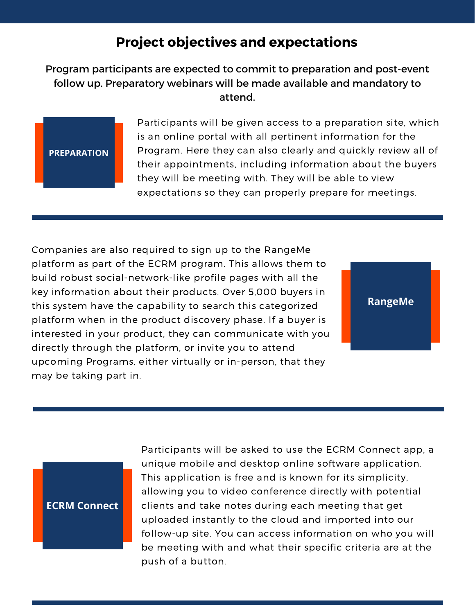### **Project objectives and expectations**

Program participants are expected to commit to preparation and post-event follow up. Preparatory webinars will be made available and mandatory to attend.



Participants will be given access to a preparation site, which is an online portal with all pertinent information for the Program. Here they can also clearly and quickly review all of their appointments, including information about the buyers they will be meeting with. They will be able to view expectations so they can properly prepare for meetings.

Companies are also required to sign up to the RangeMe platform as part of the ECRM program. This allows them to build robust social-network-like profile pages with all the key information about their products. Over 5,000 buyers in this system have the capability to search this categorized platform when in the product discovery phase. If a buyer is interested in your product, they can communicate with you directly through the platform, or invite you to attend upcoming Programs, either virtually or in-person, that they may be taking part in.



### **ECRM Connect**

Participants will be asked to use the ECRM Connect app, a unique mobile and desktop online software application. This application is free and is known for its simplicity, allowing you to video conference directly with potential clients and take notes during each meeting that get uploaded instantly to the cloud and imported into our follow-up site. You can access information on who you will be meeting with and what their specific criteria are at the push of a button.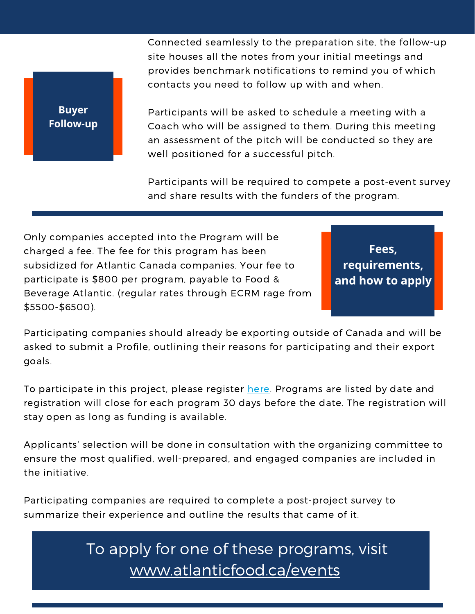**Buyer Follow-up** Connected seamlessly to the preparation site, the follow-up site houses all the notes from your initial meetings and provides benchmark notifications to remind you of which contacts you need to follow up with and when.

Participants will be asked to schedule a meeting with a Coach who will be assigned to them. During this meeting an assessment of the pitch will be conducted so they are well positioned for a successful pitch.

Participants will be required to compete a post-event survey and share results with the funders of the program.

Only companies accepted into the Program will be charged a fee. The fee for this program has been subsidized for Atlantic Canada companies. Your fee to participate is \$800 per program, payable to Food & Beverage Atlantic. (regular rates through ECRM rage from \$5500-\$6500).

**Fees, requirements, and how to apply**

Participating companies should already be exporting outside of Canada and will be asked to submit a Profile, outlining their reasons for participating and their export goals.

To participate in this project, please register [here](https://form.jotform.com/212003587230040). Programs are listed by date and registration will close for each program 30 days before the date. The registration will stay open as long as funding is available.

Applicants' selection will be done in consultation with the organizing committee to ensure the most qualified, well-prepared, and engaged companies are included in the initiative.

Participating companies are required to complete a post-project survey to summarize their experience and outline the results that came of it.

> To apply for one of these programs, visit [www.atlanticfood.ca/events](https://www.atlanticfood.ca/events)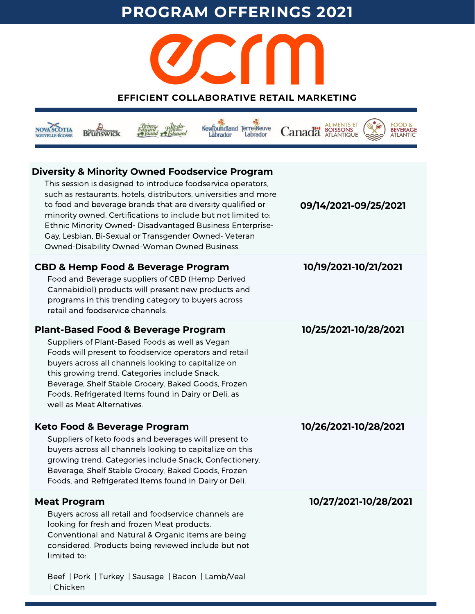## **PROGRAM OFFERINGS 2021**



### **EFFICIENT COLLABORATIVE RETAIL MARKETING**

| New oundland Terre-Neuve<br>Labrador<br>abrador                                                                                                                                                                                                                                                                                                                                                                                                                                                    |                       |
|----------------------------------------------------------------------------------------------------------------------------------------------------------------------------------------------------------------------------------------------------------------------------------------------------------------------------------------------------------------------------------------------------------------------------------------------------------------------------------------------------|-----------------------|
| <b>Diversity &amp; Minority Owned Foodservice Program</b><br>This session is designed to introduce foodservice operators,<br>such as restaurants, hotels, distributors, universities and more<br>to food and beverage brands that are diversity qualified or<br>minority owned. Certifications to include but not limited to:<br>Ethnic Minority Owned-Disadvantaged Business Enterprise-<br>Gay, Lesbian, Bi-Sexual or Transgender Owned- Veteran<br>Owned-Disability Owned-Woman Owned Business. | 09/14/2021-09/25/2021 |
| <b>CBD &amp; Hemp Food &amp; Beverage Program</b><br>Food and Beverage suppliers of CBD (Hemp Derived<br>Cannabidiol) products will present new products and<br>programs in this trending category to buyers across<br>retail and foodservice channels.                                                                                                                                                                                                                                            | 10/19/2021-10/21/2021 |
| <b>Plant-Based Food &amp; Beverage Program</b><br>Suppliers of Plant-Based Foods as well as Vegan<br>Foods will present to foodservice operators and retail<br>buyers across all channels looking to capitalize on<br>this growing trend. Categories include Snack,<br>Beverage, Shelf Stable Grocery, Baked Goods, Frozen<br>Foods, Refrigerated Items found in Dairy or Deli, as<br>well as Meat Alternatives.                                                                                   | 10/25/2021-10/28/2021 |
| <b>Keto Food &amp; Beverage Program</b><br>Suppliers of keto foods and beverages will present to<br>buyers across all channels looking to capitalize on this<br>growing trend. Categories include Snack, Confectionery,<br>Beverage, Shelf Stable Grocery, Baked Goods, Frozen<br>Foods, and Refrigerated Items found in Dairy or Deli.                                                                                                                                                            | 10/26/2021-10/28/2021 |
| <b>Meat Program</b><br>Buyers across all retail and foodservice channels are<br>looking for fresh and frozen Meat products.<br>Conventional and Natural & Organic items are being<br>considered. Products being reviewed include but not<br>limited to:<br>Beef   Pork   Turkey   Sausage   Bacon   Lamb/Veal                                                                                                                                                                                      | 10/27/2021-10/28/2021 |

| Chicken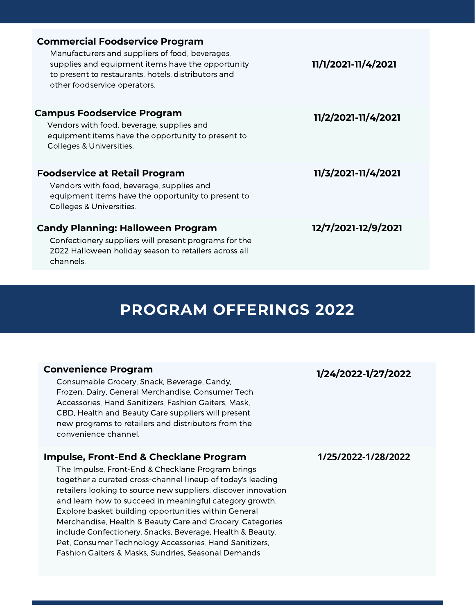| <b>Commercial Foodservice Program</b>                                                                                                                                                       |                     |
|---------------------------------------------------------------------------------------------------------------------------------------------------------------------------------------------|---------------------|
| Manufacturers and suppliers of food, beverages,<br>supplies and equipment items have the opportunity<br>to present to restaurants, hotels, distributors and<br>other foodservice operators. | 11/1/2021-11/4/2021 |
| <b>Campus Foodservice Program</b>                                                                                                                                                           | 11/2/2021-11/4/2021 |
| Vendors with food, beverage, supplies and<br>equipment items have the opportunity to present to<br>Colleges & Universities.                                                                 |                     |
| <b>Foodservice at Retail Program</b>                                                                                                                                                        | 11/3/2021-11/4/2021 |
| Vendors with food, beverage, supplies and<br>equipment items have the opportunity to present to<br>Colleges & Universities.                                                                 |                     |
| <b>Candy Planning: Halloween Program</b>                                                                                                                                                    | 12/7/2021-12/9/2021 |
| Confectionery suppliers will present programs for the<br>2022 Halloween holiday season to retailers across all<br>channels.                                                                 |                     |

## **PROGRAM OFFERINGS 2022**

#### **Convenience Program**

Consumable Grocery, Snack, Beverage, Candy, Frozen, Dairy, General Merchandise, Consumer Tech Accessories, Hand Sanitizers, Fashion Gaiters, Mask, CBD, Health and Beauty Care suppliers will present new programs to retailers and distributors from the convenience channel.

#### **Impulse, Front-End & Checklane Program**

The Impulse, Front-End & Checklane Program brings together a curated cross-channel lineup of today's leading retailers looking to source new suppliers, discover innovation and learn how to succeed in meaningful category growth. Explore basket building opportunities within General Merchandise, Health & Beauty Care and Grocery. Categories include Confectionery, Snacks, Beverage, Health & Beauty, Pet, Consumer Technology Accessories, Hand Sanitizers, Fashion Gaiters & Masks, Sundries, Seasonal Demands

**1/24/2022-1/27/2022**

**1/25/2022-1/28/2022**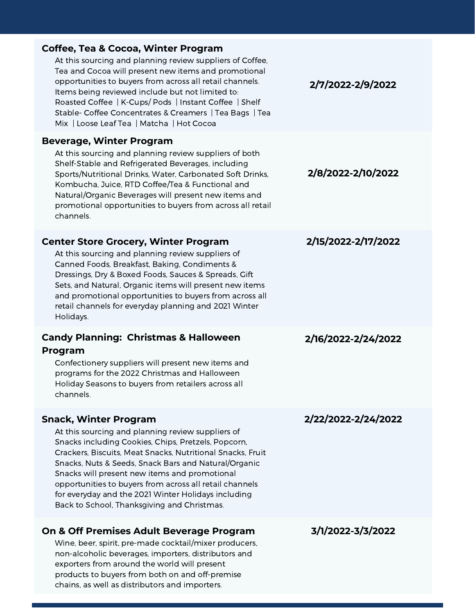| <b>Coffee, Tea &amp; Cocoa, Winter Program</b><br>At this sourcing and planning review suppliers of Coffee,<br>Tea and Cocoa will present new items and promotional<br>opportunities to buyers from across all retail channels.<br>Items being reviewed include but not limited to:<br>Roasted Coffee   K-Cups/ Pods   Instant Coffee   Shelf<br>Stable- Coffee Concentrates & Creamers   Tea Bags   Tea<br>Mix   Loose Leaf Tea   Matcha   Hot Cocoa                            | 2/7/2022-2/9/2022   |
|----------------------------------------------------------------------------------------------------------------------------------------------------------------------------------------------------------------------------------------------------------------------------------------------------------------------------------------------------------------------------------------------------------------------------------------------------------------------------------|---------------------|
| <b>Beverage, Winter Program</b><br>At this sourcing and planning review suppliers of both<br>Shelf-Stable and Refrigerated Beverages, including<br>Sports/Nutritional Drinks, Water, Carbonated Soft Drinks,<br>Kombucha, Juice, RTD Coffee/Tea & Functional and<br>Natural/Organic Beverages will present new items and<br>promotional opportunities to buyers from across all retail<br>channels.                                                                              | 2/8/2022-2/10/2022  |
| <b>Center Store Grocery, Winter Program</b><br>At this sourcing and planning review suppliers of<br>Canned Foods, Breakfast, Baking, Condiments &<br>Dressings, Dry & Boxed Foods, Sauces & Spreads, Gift<br>Sets, and Natural, Organic items will present new items<br>and promotional opportunities to buyers from across all<br>retail channels for everyday planning and 2021 Winter<br>Holidays.                                                                            | 2/15/2022-2/17/2022 |
| <b>Candy Planning: Christmas &amp; Halloween</b><br>Program<br>Confectionery suppliers will present new items and<br>programs for the 2022 Christmas and Halloween<br>Holiday Seasons to buyers from retailers across all<br>channels.                                                                                                                                                                                                                                           | 2/16/2022-2/24/2022 |
| <b>Snack, Winter Program</b><br>At this sourcing and planning review suppliers of<br>Snacks including Cookies, Chips, Pretzels, Popcorn,<br>Crackers, Biscuits, Meat Snacks, Nutritional Snacks, Fruit<br>Snacks, Nuts & Seeds, Snack Bars and Natural/Organic<br>Snacks will present new items and promotional<br>opportunities to buyers from across all retail channels<br>for everyday and the 2021 Winter Holidays including<br>Back to School, Thanksgiving and Christmas. | 2/22/2022-2/24/2022 |
| On & Off Premises Adult Beverage Program<br>Wine, beer, spirit, pre-made cocktail/mixer producers,<br>non-alcoholic beverages, importers, distributors and<br>exporters from around the world will present<br>products to buyers from both on and off-premise<br>chains, as well as distributors and importers.                                                                                                                                                                  | 3/1/2022-3/3/2022   |